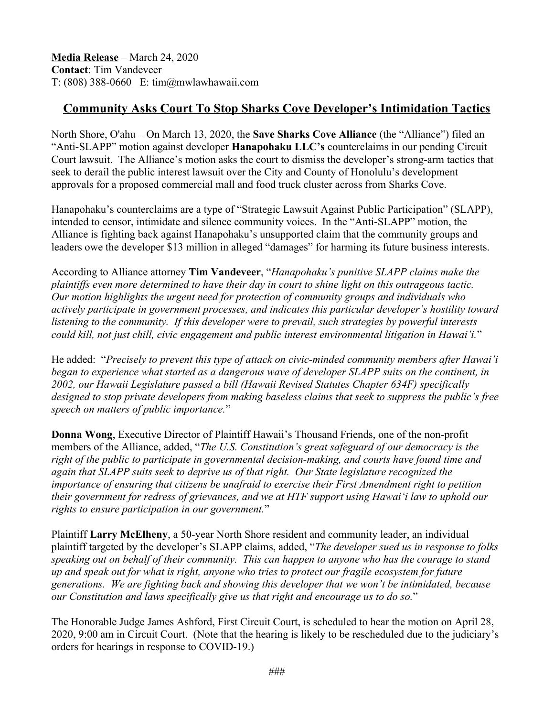**Media Release** – March 24, 2020 **Contact**: Tim Vandeveer T: (808) 388-0660 E: tim@mwlawhawaii.com

## **Community Asks Court To Stop Sharks Cove Developer's Intimidation Tactics**

North Shore, O'ahu – On March 13, 2020, the **Save Sharks Cove Alliance** (the "Alliance") filed an "Anti-SLAPP" motion against developer **Hanapohaku LLC's** counterclaims in our pending Circuit Court lawsuit. The Alliance's motion asks the court to dismiss the developer's strong-arm tactics that seek to derail the public interest lawsuit over the City and County of Honolulu's development approvals for a proposed commercial mall and food truck cluster across from Sharks Cove.

Hanapohaku's counterclaims are a type of "Strategic Lawsuit Against Public Participation" (SLAPP), intended to censor, intimidate and silence community voices. In the "Anti-SLAPP" motion, the Alliance is fighting back against Hanapohaku's unsupported claim that the community groups and leaders owe the developer \$13 million in alleged "damages" for harming its future business interests.

According to Alliance attorney **Tim Vandeveer**, "*Hanapohaku's punitive SLAPP claims make the plaintiffs even more determined to have their day in court to shine light on this outrageous tactic. Our motion highlights the urgent need for protection of community groups and individuals who actively participate in government processes, and indicates this particular developer's hostility toward listening to the community. If this developer were to prevail, such strategies by powerful interests could kill, not just chill, civic engagement and public interest environmental litigation in Hawai'i.*"

He added: "*Precisely to prevent this type of attack on civic-minded community members after Hawai'i began to experience what started as a dangerous wave of developer SLAPP suits on the continent, in 2002, our Hawaii Legislature passed a bill (Hawaii Revised Statutes Chapter 634F) specifically designed to stop private developers from making baseless claims that seek to suppress the public's free speech on matters of public importance.*"

**Donna Wong**, Executive Director of Plaintiff Hawaii's Thousand Friends, one of the non-profit members of the Alliance, added, "*The U.S. Constitution's great safeguard of our democracy is the right of the public to participate in governmental decision-making, and courts have found time and again that SLAPP suits seek to deprive us of that right. Our State legislature recognized the importance of ensuring that citizens be unafraid to exercise their First Amendment right to petition their government for redress of grievances, and we at HTF support using Hawai'i law to uphold our rights to ensure participation in our government.*"

Plaintiff **Larry McElheny**, a 50-year North Shore resident and community leader, an individual plaintiff targeted by the developer's SLAPP claims, added, "*The developer sued us in response to folks speaking out on behalf of their community. This can happen to anyone who has the courage to stand up and speak out for what is right, anyone who tries to protect our fragile ecosystem for future generations. We are fighting back and showing this developer that we won't be intimidated, because our Constitution and laws specifically give us that right and encourage us to do so.*"

The Honorable Judge James Ashford, First Circuit Court, is scheduled to hear the motion on April 28, 2020, 9:00 am in Circuit Court. (Note that the hearing is likely to be rescheduled due to the judiciary's orders for hearings in response to COVID-19.)